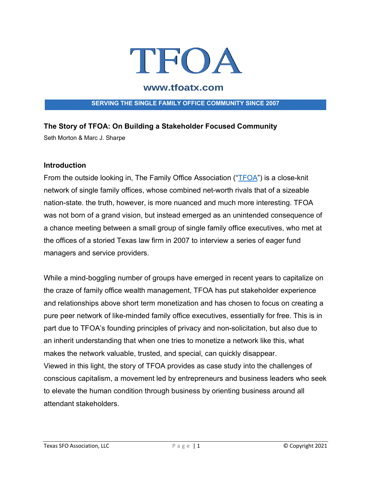

# www.tfoatx.com

#### **SERVING THE SINGLE FAMILY OFFICE COMMUNITY SINCE 2007**

### **The Story of TFOA: On Building a Stakeholder Focused Community**

Seth Morton & Marc J. Sharpe

#### **Introduction**

From the outside looking in, The Family Office Association ("TFOA") is a close-knit network of single family offices, whose combined net-worth rivals that of a sizeable nation-state. the truth, however, is more nuanced and much more interesting. TFOA was not born of a grand vision, but instead emerged as an unintended consequence of a chance meeting between a small group of single family office executives, who met at the offices of a storied Texas law firm in 2007 to interview a series of eager fund managers and service providers.

While a mind-boggling number of groups have emerged in recent years to capitalize on the craze of family office wealth management, TFOA has put stakeholder experience and relationships above short term monetization and has chosen to focus on creating a pure peer network of like-minded family office executives, essentially for free. This is in part due to TFOA's founding principles of privacy and non-solicitation, but also due to an inherit understanding that when one tries to monetize a network like this, what makes the network valuable, trusted, and special, can quickly disappear. Viewed in this light, the story of TFOA provides as case study into the challenges of conscious capitalism, a movement led by entrepreneurs and business leaders who seek to elevate the human condition through business by orienting business around all attendant stakeholders.

Texas SFO Association, LLC Page | 1 © Copyright 2021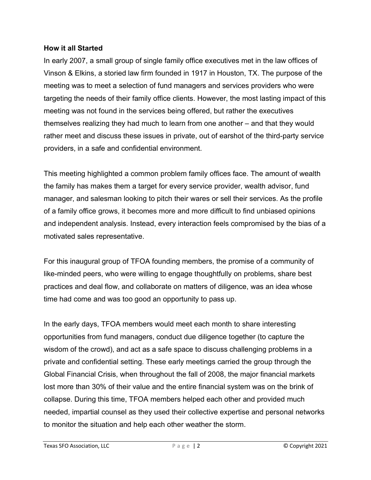### **How it all Started**

In early 2007, a small group of single family office executives met in the law offices of Vinson & Elkins, a storied law firm founded in 1917 in Houston, TX. The purpose of the meeting was to meet a selection of fund managers and services providers who were targeting the needs of their family office clients. However, the most lasting impact of this meeting was not found in the services being offered, but rather the executives themselves realizing they had much to learn from one another – and that they would rather meet and discuss these issues in private, out of earshot of the third-party service providers, in a safe and confidential environment.

This meeting highlighted a common problem family offices face. The amount of wealth the family has makes them a target for every service provider, wealth advisor, fund manager, and salesman looking to pitch their wares or sell their services. As the profile of a family office grows, it becomes more and more difficult to find unbiased opinions and independent analysis. Instead, every interaction feels compromised by the bias of a motivated sales representative.

For this inaugural group of TFOA founding members, the promise of a community of like-minded peers, who were willing to engage thoughtfully on problems, share best practices and deal flow, and collaborate on matters of diligence, was an idea whose time had come and was too good an opportunity to pass up.

In the early days, TFOA members would meet each month to share interesting opportunities from fund managers, conduct due diligence together (to capture the wisdom of the crowd), and act as a safe space to discuss challenging problems in a private and confidential setting. These early meetings carried the group through the Global Financial Crisis, when throughout the fall of 2008, the major financial markets lost more than 30% of their value and the entire financial system was on the brink of collapse. During this time, TFOA members helped each other and provided much needed, impartial counsel as they used their collective expertise and personal networks to monitor the situation and help each other weather the storm.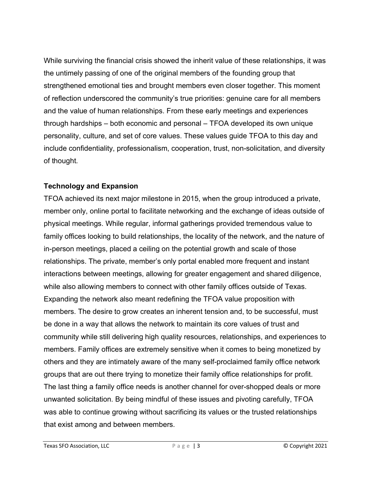While surviving the financial crisis showed the inherit value of these relationships, it was the untimely passing of one of the original members of the founding group that strengthened emotional ties and brought members even closer together. This moment of reflection underscored the community's true priorities: genuine care for all members and the value of human relationships. From these early meetings and experiences through hardships – both economic and personal – TFOA developed its own unique personality, culture, and set of core values. These values guide TFOA to this day and include confidentiality, professionalism, cooperation, trust, non-solicitation, and diversity of thought.

## **Technology and Expansion**

TFOA achieved its next major milestone in 2015, when the group introduced a private, member only, online portal to facilitate networking and the exchange of ideas outside of physical meetings. While regular, informal gatherings provided tremendous value to family offices looking to build relationships, the locality of the network, and the nature of in-person meetings, placed a ceiling on the potential growth and scale of those relationships. The private, member's only portal enabled more frequent and instant interactions between meetings, allowing for greater engagement and shared diligence, while also allowing members to connect with other family offices outside of Texas. Expanding the network also meant redefining the TFOA value proposition with members. The desire to grow creates an inherent tension and, to be successful, must be done in a way that allows the network to maintain its core values of trust and community while still delivering high quality resources, relationships, and experiences to members. Family offices are extremely sensitive when it comes to being monetized by others and they are intimately aware of the many self-proclaimed family office network groups that are out there trying to monetize their family office relationships for profit. The last thing a family office needs is another channel for over-shopped deals or more unwanted solicitation. By being mindful of these issues and pivoting carefully, TFOA was able to continue growing without sacrificing its values or the trusted relationships that exist among and between members.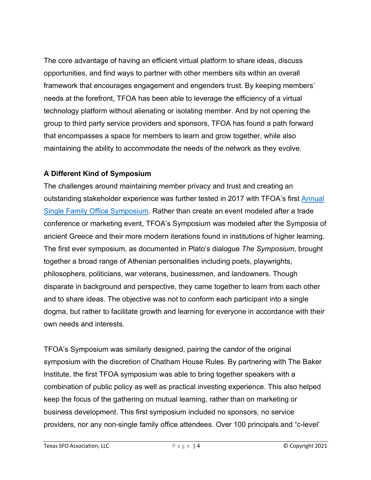The core advantage of having an efficient virtual platform to share ideas, discuss opportunities, and find ways to partner with other members sits within an overall framework that encourages engagement and engenders trust. By keeping members' needs at the forefront, TFOA has been able to leverage the efficiency of a virtual technology platform without alienating or isolating member. And by not opening the group to third party service providers and sponsors, TFOA has found a path forward that encompasses a space for members to learn and grow together, while also maintaining the ability to accommodate the needs of the network as they evolve.

# **A Different Kind of Symposium**

The challenges around maintaining member privacy and trust and creating an outstanding stakeholder experience was further tested in 2017 with TFOA's first Annual Single Family Office Symposium. Rather than create an event modeled after a trade conference or marketing event, TFOA's Symposium was modeled after the Symposia of ancient Greece and their more modern iterations found in institutions of higher learning. The first ever symposium, as documented in Plato's dialogue *The Symposium*, brought together a broad range of Athenian personalities including poets, playwrights, philosophers, politicians, war veterans, businessmen, and landowners. Though disparate in background and perspective, they came together to learn from each other and to share ideas. The objective was not to conform each participant into a single dogma, but rather to facilitate growth and learning for everyone in accordance with their own needs and interests.

TFOA's Symposium was similarly designed, pairing the candor of the original symposium with the discretion of Chatham House Rules. By partnering with The Baker Institute, the first TFOA symposium was able to bring together speakers with a combination of public policy as well as practical investing experience. This also helped keep the focus of the gathering on mutual learning, rather than on marketing or business development. This first symposium included no sponsors, no service providers, nor any non-single family office attendees. Over 100 principals and "c-level'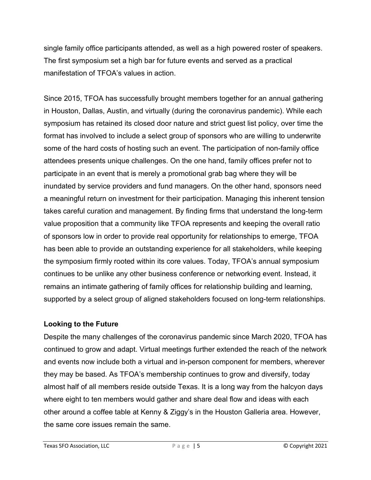single family office participants attended, as well as a high powered roster of speakers. The first symposium set a high bar for future events and served as a practical manifestation of TFOA's values in action.

Since 2015, TFOA has successfully brought members together for an annual gathering in Houston, Dallas, Austin, and virtually (during the coronavirus pandemic). While each symposium has retained its closed door nature and strict guest list policy, over time the format has involved to include a select group of sponsors who are willing to underwrite some of the hard costs of hosting such an event. The participation of non-family office attendees presents unique challenges. On the one hand, family offices prefer not to participate in an event that is merely a promotional grab bag where they will be inundated by service providers and fund managers. On the other hand, sponsors need a meaningful return on investment for their participation. Managing this inherent tension takes careful curation and management. By finding firms that understand the long-term value proposition that a community like TFOA represents and keeping the overall ratio of sponsors low in order to provide real opportunity for relationships to emerge, TFOA has been able to provide an outstanding experience for all stakeholders, while keeping the symposium firmly rooted within its core values. Today, TFOA's annual symposium continues to be unlike any other business conference or networking event. Instead, it remains an intimate gathering of family offices for relationship building and learning, supported by a select group of aligned stakeholders focused on long-term relationships.

## **Looking to the Future**

Despite the many challenges of the coronavirus pandemic since March 2020, TFOA has continued to grow and adapt. Virtual meetings further extended the reach of the network and events now include both a virtual and in-person component for members, wherever they may be based. As TFOA's membership continues to grow and diversify, today almost half of all members reside outside Texas. It is a long way from the halcyon days where eight to ten members would gather and share deal flow and ideas with each other around a coffee table at Kenny & Ziggy's in the Houston Galleria area. However, the same core issues remain the same.